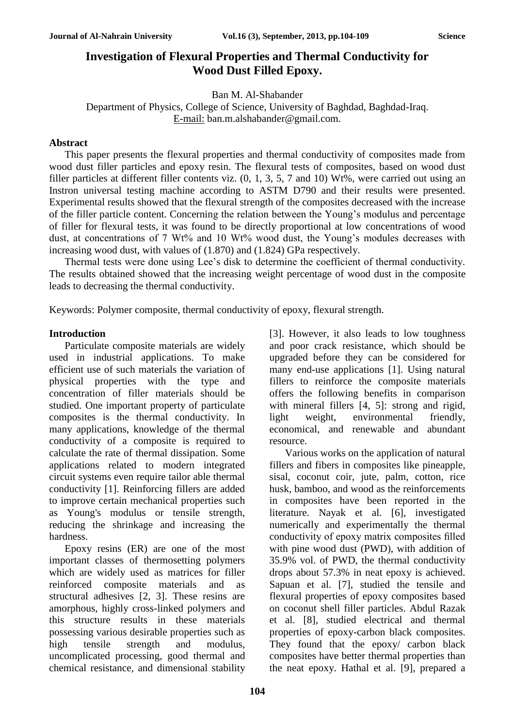# **Investigation of Flexural Properties and Thermal Conductivity for Wood Dust Filled Epoxy.**

Ban M. Al-Shabander

Department of Physics, College of Science, University of Baghdad, Baghdad-Iraq. E-mail: ban.m.alshabander@gmail.com.

## **Abstract**

This paper presents the flexural properties and thermal conductivity of composites made from wood dust filler particles and epoxy resin. The flexural tests of composites, based on wood dust filler particles at different filler contents viz. (0, 1, 3, 5, 7 and 10) Wt%, were carried out using an Instron universal testing machine according to ASTM D790 and their results were presented. Experimental results showed that the flexural strength of the composites decreased with the increase of the filler particle content. Concerning the relation between the Young's modulus and percentage of filler for flexural tests, it was found to be directly proportional at low concentrations of wood dust, at concentrations of 7 Wt% and 10 Wt% wood dust, the Young's modules decreases with increasing wood dust, with values of (1.870) and (1.824) GPa respectively.

Thermal tests were done using Lee's disk to determine the coefficient of thermal conductivity. The results obtained showed that the increasing weight percentage of wood dust in the composite leads to decreasing the thermal conductivity.

Keywords: Polymer composite, thermal conductivity of epoxy, flexural strength.

# **Introduction**

Particulate composite materials are widely used in industrial applications. To make efficient use of such materials the variation of physical properties with the type and concentration of filler materials should be studied. One important property of particulate composites is the thermal conductivity. In many applications, knowledge of the thermal conductivity of a composite is required to calculate the rate of thermal dissipation. Some applications related to modern integrated circuit systems even require tailor able thermal conductivity [1]. Reinforcing fillers are added to improve certain mechanical properties such as Young's modulus or tensile strength, reducing the shrinkage and increasing the hardness.

Epoxy resins (ER) are one of the most important classes of thermosetting polymers which are widely used as matrices for filler reinforced composite materials and as structural adhesives [2, 3]. These resins are amorphous, highly cross-linked polymers and this structure results in these materials possessing various desirable properties such as high tensile strength and modulus, uncomplicated processing, good thermal and chemical resistance, and dimensional stability [3]. However, it also leads to low toughness and poor crack resistance, which should be upgraded before they can be considered for many end-use applications [1]. Using natural fillers to reinforce the composite materials offers the following benefits in comparison with mineral fillers [4, 5]: strong and rigid, light weight, environmental friendly, economical, and renewable and abundant resource.

Various works on the application of natural fillers and fibers in composites like pineapple, sisal, coconut coir, jute, palm, cotton, rice husk, bamboo, and wood as the reinforcements in composites have been reported in the literature. Nayak et al. [6], investigated numerically and experimentally the thermal conductivity of epoxy matrix composites filled with pine wood dust (PWD), with addition of 35.9% vol. of PWD, the thermal conductivity drops about 57.3% in neat epoxy is achieved. Sapuan et al. [7], studied the tensile and flexural properties of epoxy composites based on coconut shell filler particles. Abdul Razak et al. [8], studied electrical and thermal properties of epoxy-carbon black composites. They found that the epoxy/ carbon black composites have better thermal properties than the neat epoxy. Hathal et al. [9], prepared a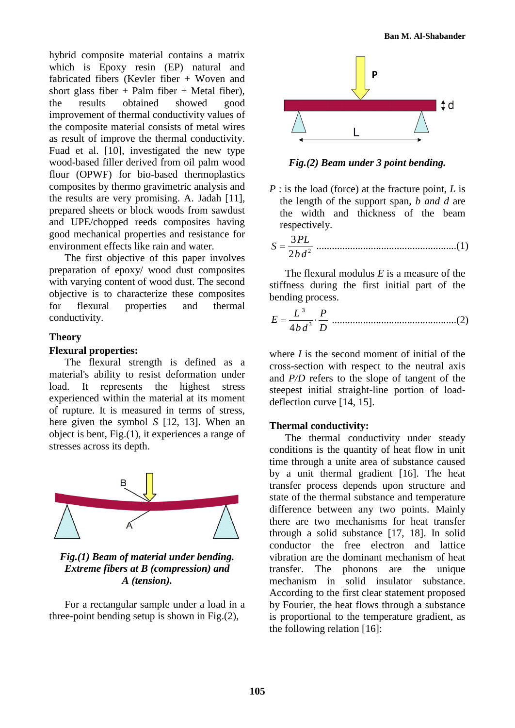hybrid composite material contains a matrix which is Epoxy resin (EP) natural and fabricated fibers (Kevler fiber + Woven and short glass fiber + Palm fiber + Metal fiber). the results obtained showed good improvement of thermal conductivity values of the composite material consists of metal wires as result of improve the thermal conductivity. Fuad et al. [10], investigated the new type wood-based filler derived from oil palm wood flour (OPWF) for bio-based thermoplastics composites by thermo gravimetric analysis and the results are very promising. A. Jadah [11], prepared sheets or block woods from sawdust and UPE/chopped reeds composites having good mechanical properties and resistance for environment effects like rain and water.

The first objective of this paper involves preparation of epoxy/ wood dust composites with varying content of wood dust. The second objective is to characterize these composites for flexural properties and thermal conductivity.

### **Theory**

#### **Flexural properties:**

The flexural strength is defined as a material's ability to resist deformation under load. It represents the highest stress experienced within the material at its moment of rupture. It is measured in terms of stress, here given the symbol *S* [12, 13]. When an object is bent, Fig.(1), it experiences a range of stresses across its depth.



*Fig.(1) Beam of material under bending. Extreme fibers at B (compression) and A (tension).*

For a rectangular sample under a load in a three-point bending setup is shown in Fig.(2),



*Fig.(2) Beam under 3 point bending.*

- *P* : is the load (force) at the fracture point, *L* is the length of the support span, *b and d* are the width and thickness of the beam respectively.
- 2 3 2  $S = \frac{3PL}{2L}$ *bd* ......................................................(1)

The flexural modulus *E* is a measure of the stiffness during the first initial part of the bending process.

3 3 4 *L P <sup>E</sup> b d D* ................................................(2)

where *I* is the second moment of initial of the cross-section with respect to the neutral axis and *P/D* refers to the slope of tangent of the steepest initial straight-line portion of loaddeflection curve [14, 15].

#### **Thermal conductivity:**

The thermal conductivity under steady conditions is the quantity of heat flow in unit time through a unite area of substance caused by a unit thermal gradient [16]. The heat transfer process depends upon structure and state of the thermal substance and temperature difference between any two points. Mainly there are two mechanisms for heat transfer through a solid substance [17, 18]. In solid conductor the free electron and lattice vibration are the dominant mechanism of heat transfer. The phonons are the unique mechanism in solid insulator substance. According to the first clear statement proposed by Fourier, the heat flows through a substance is proportional to the temperature gradient, as the following relation [16]: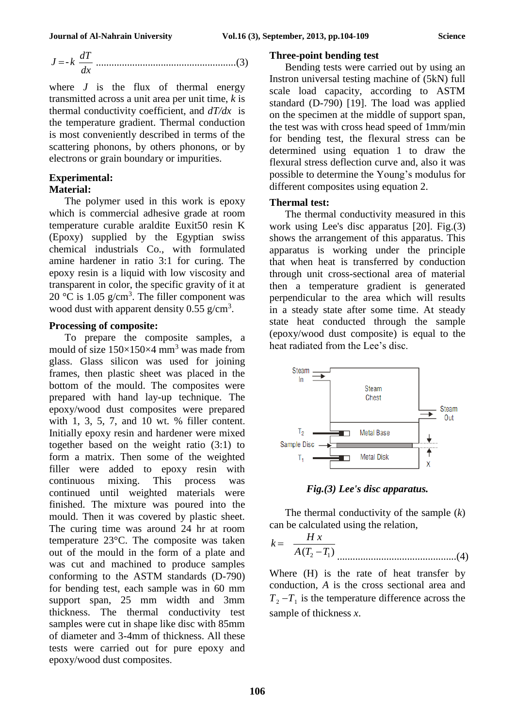$$
J = -k \frac{dT}{dx}
$$
.................(3)

where  $J$  is the flux of thermal energy transmitted across a unit area per unit time, *k* is thermal conductivity coefficient, and *dT/dx* is the temperature gradient. Thermal conduction is most conveniently described in terms of the scattering phonons, by others phonons, or by electrons or grain boundary or impurities.

# **Experimental:**

### **Material:**

The polymer used in this work is epoxy which is commercial adhesive grade at room temperature curable araldite Euxit50 resin K (Epoxy) supplied by the Egyptian swiss chemical industrials Co., with formulated amine hardener in ratio 3:1 for curing. The epoxy resin is a liquid with low viscosity and transparent in color, the specific gravity of it at 20 °C is 1.05  $g/cm<sup>3</sup>$ . The filler component was wood dust with apparent density  $0.55$  g/cm<sup>3</sup>.

## **Processing of composite:**

To prepare the composite samples, a mould of size  $150\times150\times4$  mm<sup>3</sup> was made from glass. Glass silicon was used for joining frames, then plastic sheet was placed in the bottom of the mould. The composites were prepared with hand lay-up technique. The epoxy/wood dust composites were prepared with 1, 3, 5, 7, and 10 wt. % filler content. Initially epoxy resin and hardener were mixed together based on the weight ratio (3:1) to form a matrix. Then some of the weighted filler were added to epoxy resin with continuous mixing. This process was continued until weighted materials were finished. The mixture was poured into the mould. Then it was covered by plastic sheet. The curing time was around 24 hr at room temperature 23°C. The composite was taken out of the mould in the form of a plate and was cut and machined to produce samples conforming to the ASTM standards (D-790) for bending test, each sample was in 60 mm support span, 25 mm width and 3mm thickness. The thermal conductivity test samples were cut in shape like disc with 85mm of diameter and 3-4mm of thickness. All these tests were carried out for pure epoxy and epoxy/wood dust composites.

#### **Three-point bending test**

Bending tests were carried out by using an Instron universal testing machine of (5kN) full scale load capacity, according to ASTM standard (D-790) [19]. The load was applied on the specimen at the middle of support span, the test was with cross head speed of 1mm/min for bending test, the flexural stress can be determined using equation 1 to draw the flexural stress deflection curve and, also it was possible to determine the Young's modulus for different composites using equation 2.

#### **Thermal test:**

The thermal conductivity measured in this work using Lee's disc apparatus [20]. Fig.(3) shows the arrangement of this apparatus. This apparatus is working under the principle that when heat is transferred by conduction through unit cross-sectional area of material then a temperature gradient is generated perpendicular to the area which will results in a steady state after some time. At steady state heat conducted through the sample (epoxy/wood dust composite) is equal to the heat radiated from the Lee's disc.





The thermal conductivity of the sample (*k*) can be calculated using the relation,

$$
k = \frac{H x}{A (T_2 - T_1)}
$$
.................(4)

Where (H) is the rate of heat transfer by conduction*, A* is the cross sectional area and  $T_2 - T_1$  is the temperature difference across the sample of thickness *x*.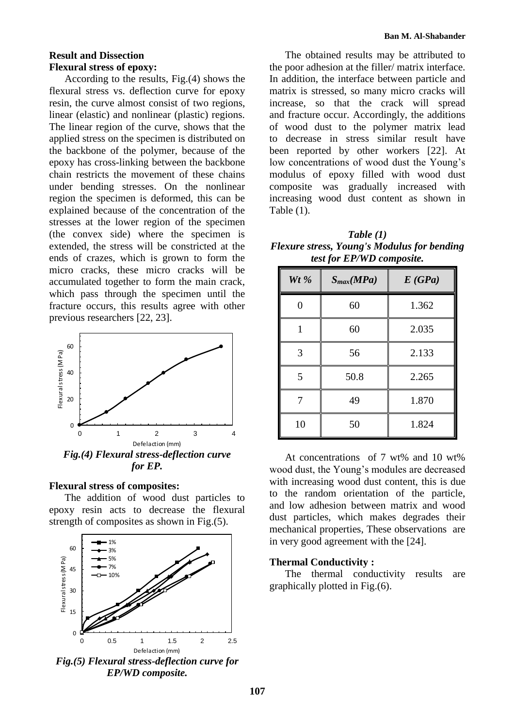# **Result and Dissection Flexural stress of epoxy:**

According to the results, Fig.(4) shows the flexural stress vs. deflection curve for epoxy resin, the curve almost consist of two regions, linear (elastic) and nonlinear (plastic) regions. The linear region of the curve, shows that the applied stress on the specimen is distributed on the backbone of the polymer, because of the epoxy has cross-linking between the backbone chain restricts the movement of these chains under bending stresses. On the nonlinear region the specimen is deformed, this can be explained because of the concentration of the stresses at the lower region of the specimen (the convex side) where the specimen is extended, the stress will be constricted at the ends of crazes, which is grown to form the micro cracks, these micro cracks will be accumulated together to form the main crack, which pass through the specimen until the fracture occurs, this results agree with other previous researchers [22, 23].



#### **Flexural stress of composites:**

The addition of wood dust particles to epoxy resin acts to decrease the flexural strength of composites as shown in Fig.(5).



*Fig.(5) Flexural stress-deflection curve for EP/WD composite.*

The obtained results may be attributed to the poor adhesion at the filler/ matrix interface. In addition, the interface between particle and matrix is stressed, so many micro cracks will increase, so that the crack will spread and fracture occur. Accordingly, the additions of wood dust to the polymer matrix lead to decrease in stress similar result have been reported by other workers [22]. At low concentrations of wood dust the Young's modulus of epoxy filled with wood dust composite was gradually increased with increasing wood dust content as shown in Table (1).

*Table (1) Flexure stress, Young's Modulus for bending test for EP/WD composite.*

| Wt $%$ | $S_{max}(MPa)$ | E(GPa) |
|--------|----------------|--------|
|        | 60             | 1.362  |
| 1      | 60             | 2.035  |
| 3      | 56             | 2.133  |
| 5      | 50.8           | 2.265  |
|        | 49             | 1.870  |
| 10     | 50             | 1.824  |

At concentrations of 7 wt% and 10 wt% wood dust, the Young's modules are decreased with increasing wood dust content, this is due to the random orientation of the particle, and low adhesion between matrix and wood dust particles, which makes degrades their mechanical properties, These observations are in very good agreement with the [24].

#### **Thermal Conductivity :**

The thermal conductivity results are graphically plotted in Fig.(6).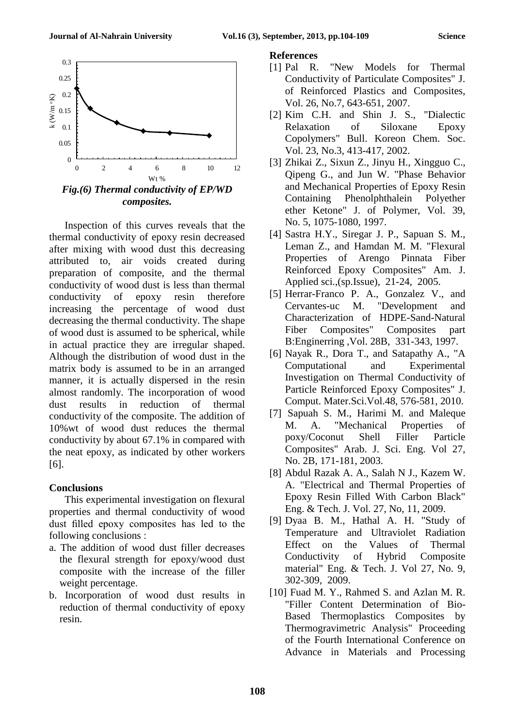

 $\Omega$ 0.05 0.1 0.15 0.2 0.25 0.3 0 2 4 6 8 10 12  $k(W/m)$ oK) Wt %

*Fig.(6) Thermal conductivity of EP/WD composites.*

Inspection of this curves reveals that the thermal conductivity of epoxy resin decreased after mixing with wood dust this decreasing attributed to, air voids created during preparation of composite, and the thermal conductivity of wood dust is less than thermal conductivity of epoxy resin therefore increasing the percentage of wood dust decreasing the thermal conductivity. The shape of wood dust is assumed to be spherical, while in actual practice they are irregular shaped. Although the distribution of wood dust in the matrix body is assumed to be in an arranged manner, it is actually dispersed in the resin almost randomly. The incorporation of wood dust results in reduction of thermal conductivity of the composite. The addition of 10%wt of wood dust reduces the thermal conductivity by about 67.1% in compared with the neat epoxy, as indicated by other workers [6].

#### **Conclusions**

This experimental investigation on flexural properties and thermal conductivity of wood dust filled epoxy composites has led to the following conclusions :

- a. The addition of wood dust filler decreases the flexural strength for epoxy/wood dust composite with the increase of the filler weight percentage.
- b. Incorporation of wood dust results in reduction of thermal conductivity of epoxy resin.
- [2] Kim C.H. and Shin J. S., "Dialectic Relaxation of Siloxane Epoxy Copolymers" Bull. Koreon Chem. Soc. Vol. 23, No.3, 413-417, 2002.
- [3] Zhikai Z., Sixun Z., Jinyu H., Xingguo C., Qipeng G., and Jun W. "Phase Behavior and Mechanical Properties of Epoxy Resin Containing Phenolphthalein Polyether ether Ketone" J. of Polymer, Vol. 39, No. 5, 1075-1080, 1997.
- [4] Sastra H.Y., Siregar J. P., Sapuan S. M., Leman Z., and Hamdan M. M. "Flexural Properties of Arengo Pinnata Fiber Reinforced Epoxy Composites" Am. J. Applied sci.,(sp.Issue), 21-24, 2005.
- [5] Herrar-Franco P. A., Gonzalez V., and Cervantes-uc M. "Development and Characterization of HDPE-Sand-Natural Fiber Composites" Composites part B:Enginerring ,Vol. 28B, 331-343, 1997.
- [6] Nayak R., Dora T., and Satapathy A., "A Computational and Experimental Investigation on Thermal Conductivity of Particle Reinforced Epoxy Composites" J. Comput. Mater.Sci.Vol.48, 576-581, 2010.
- [7] Sapuah S. M., Harimi M. and Maleque M. A. "Mechanical Properties of poxy/Coconut Shell Filler Particle Composites" Arab. J. Sci. Eng. Vol 27, No. 2B, 171-181, 2003.
- [8] Abdul Razak A. A., Salah N J., Kazem W. A. "Electrical and Thermal Properties of Epoxy Resin Filled With Carbon Black" Eng. & Tech. J. Vol. 27, No, 11, 2009.
- [9] Dyaa B. M., Hathal A. H. "Study of Temperature and Ultraviolet Radiation Effect on the Values of Thermal Conductivity of Hybrid Composite material" Eng. & Tech. J. Vol 27, No. 9, 302-309, 2009.
- [10] Fuad M. Y., Rahmed S. and Azlan M. R. "Filler Content Determination of Bio-Based Thermoplastics Composites by Thermogravimetric Analysis" Proceeding of the Fourth International Conference on Advance in Materials and Processing